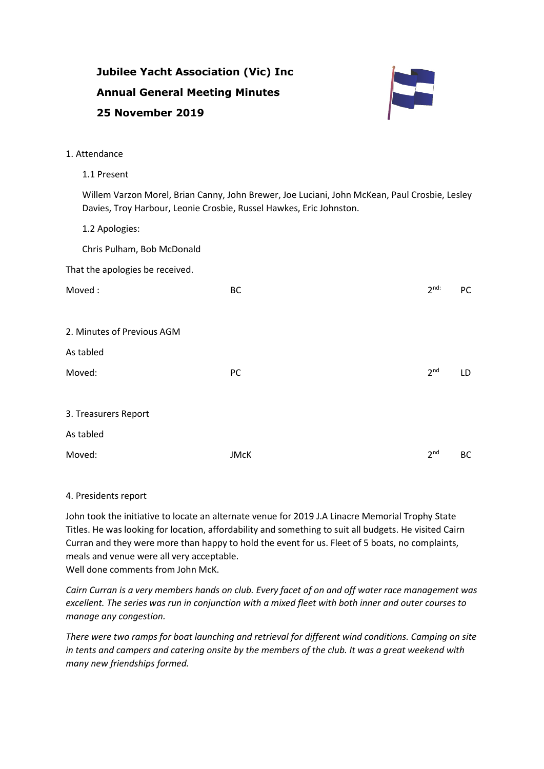|                                 | <b>Jubilee Yacht Association (Vic) Inc</b>                                                                                                                           |                              |
|---------------------------------|----------------------------------------------------------------------------------------------------------------------------------------------------------------------|------------------------------|
|                                 | <b>Annual General Meeting Minutes</b>                                                                                                                                |                              |
| 25 November 2019                |                                                                                                                                                                      |                              |
| 1. Attendance                   |                                                                                                                                                                      |                              |
|                                 |                                                                                                                                                                      |                              |
| 1.1 Present                     |                                                                                                                                                                      |                              |
|                                 | Willem Varzon Morel, Brian Canny, John Brewer, Joe Luciani, John McKean, Paul Crosbie, Lesley<br>Davies, Troy Harbour, Leonie Crosbie, Russel Hawkes, Eric Johnston. |                              |
| 1.2 Apologies:                  |                                                                                                                                                                      |                              |
| Chris Pulham, Bob McDonald      |                                                                                                                                                                      |                              |
| That the apologies be received. |                                                                                                                                                                      |                              |
| Moved:                          | <b>BC</b>                                                                                                                                                            | 2 <sup>nd</sup><br><b>PC</b> |
|                                 |                                                                                                                                                                      |                              |
| 2. Minutes of Previous AGM      |                                                                                                                                                                      |                              |
| As tabled                       |                                                                                                                                                                      |                              |
| Moved:                          | PC                                                                                                                                                                   | 2 <sup>nd</sup><br>LD        |
|                                 |                                                                                                                                                                      |                              |
| 3. Treasurers Report            |                                                                                                                                                                      |                              |
| As tabled                       |                                                                                                                                                                      |                              |
| Moved:                          | <b>JMcK</b>                                                                                                                                                          | 2 <sup>nd</sup><br>BC        |

## 4. Presidents report

John took the initiative to locate an alternate venue for 2019 J.A Linacre Memorial Trophy State Titles. He was looking for location, affordability and something to suit all budgets. He visited Cairn Curran and they were more than happy to hold the event for us. Fleet of 5 boats, no complaints, meals and venue were all very acceptable. Well done comments from John McK.

*Cairn Curran is a very members hands on club. Every facet of on and off water race management was excellent. The series was run in conjunction with a mixed fleet with both inner and outer courses to manage any congestion.*

*There were two ramps for boat launching and retrieval for different wind conditions. Camping on site in tents and campers and catering onsite by the members of the club. It was a great weekend with many new friendships formed.*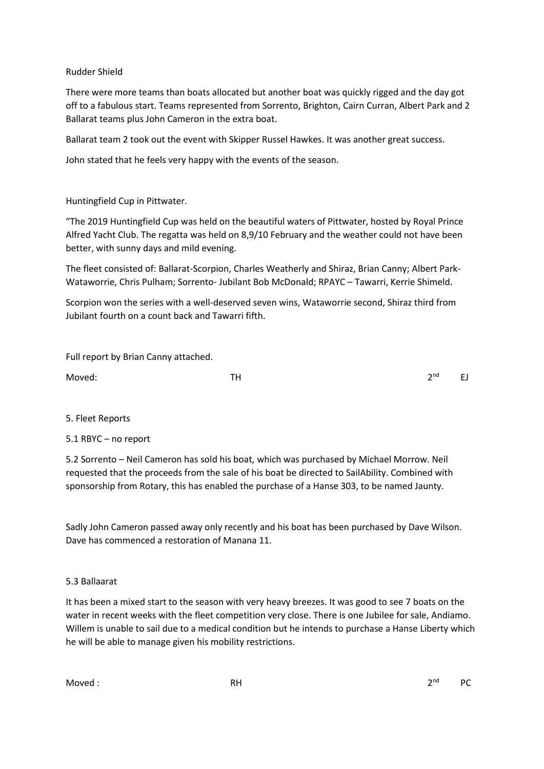Rudder Shield

There were more teams than boats allocated but another boat was quickly rigged and the day got off to a fabulous start. Teams represented from Sorrento, Brighton, Cairn Curran, Albert Park and 2 Ballarat teams plus John Cameron in the extra boat.

Ballarat team 2 took out the event with Skipper Russel Hawkes. It was another great success.

John stated that he feels very happy with the events of the season.

Huntingfield Cup in Pittwater.

"The 2019 Huntingfield Cup was held on the beautiful waters of Pittwater, hosted by Royal Prince Alfred Yacht Club. The regatta was held on 8,9/10 February and the weather could not have been better, with sunny days and mild evening.

The fleet consisted of: Ballarat-Scorpion, Charles Weatherly and Shiraz, Brian Canny; Albert Park-Wataworrie, Chris Pulham; Sorrento- Jubilant Bob McDonald; RPAYC – Tawarri, Kerrie Shimeld.

Scorpion won the series with a well-deserved seven wins, Wataworrie second, Shiraz third from Jubilant fourth on a count back and Tawarri fifth.

Full report by Brian Canny attached.

Moved: TH 2

 $2^{nd}$  EJ

5. Fleet Reports

5.1 RBYC – no report

5.2 Sorrento – Neil Cameron has sold his boat, which was purchased by Michael Morrow. Neil requested that the proceeds from the sale of his boat be directed to SailAbility. Combined with sponsorship from Rotary, this has enabled the purchase of a Hanse 303, to be named Jaunty.

Sadly John Cameron passed away only recently and his boat has been purchased by Dave Wilson. Dave has commenced a restoration of Manana 11.

5.3 Ballaarat

It has been a mixed start to the season with very heavy breezes. It was good to see 7 boats on the water in recent weeks with the fleet competition very close. There is one Jubilee for sale, Andiamo. Willem is unable to sail due to a medical condition but he intends to purchase a Hanse Liberty which he will be able to manage given his mobility restrictions.

Moved : The Contract of the RH 2 and 2 and 2 and 2 and 2 and 2 and 2 and 2 and 2 and 2 and 2 and 2 and 2 and 2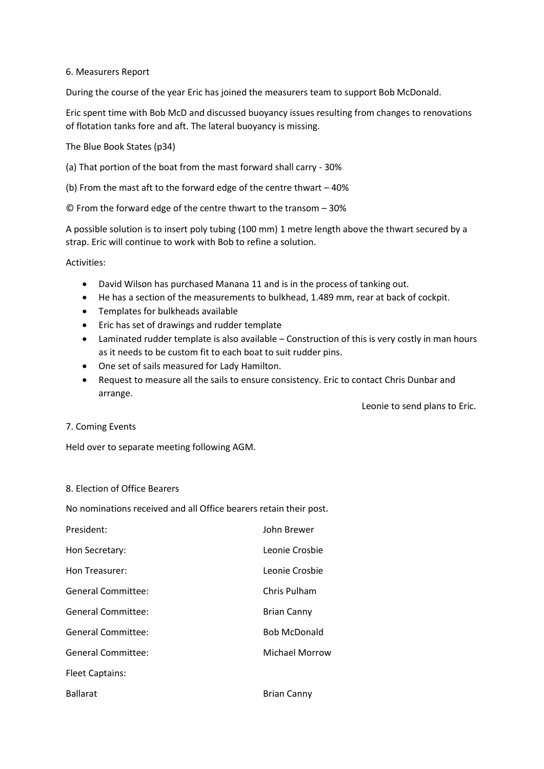## 6. Measurers Report

During the course of the year Eric has joined the measurers team to support Bob McDonald.

Eric spent time with Bob McD and discussed buoyancy issues resulting from changes to renovations of flotation tanks fore and aft. The lateral buoyancy is missing.

The Blue Book States (p34)

(a) That portion of the boat from the mast forward shall carry - 30%

(b) From the mast aft to the forward edge of the centre thwart – 40%

© From the forward edge of the centre thwart to the transom – 30%

A possible solution is to insert poly tubing (100 mm) 1 metre length above the thwart secured by a strap. Eric will continue to work with Bob to refine a solution.

Activities:

- David Wilson has purchased Manana 11 and is in the process of tanking out.
- He has a section of the measurements to bulkhead, 1.489 mm, rear at back of cockpit.
- Templates for bulkheads available
- Eric has set of drawings and rudder template
- Laminated rudder template is also available Construction of this is very costly in man hours as it needs to be custom fit to each boat to suit rudder pins.
- One set of sails measured for Lady Hamilton.
- Request to measure all the sails to ensure consistency. Eric to contact Chris Dunbar and arrange.

Leonie to send plans to Eric.

## 7. Coming Events

Held over to separate meeting following AGM.

## 8. Election of Office Bearers

No nominations received and all Office bearers retain their post.

| President:                | John Brewer         |
|---------------------------|---------------------|
| Hon Secretary:            | Leonie Crosbie      |
| Hon Treasurer:            | Leonie Crosbie      |
| <b>General Committee:</b> | Chris Pulham        |
| General Committee:        | <b>Brian Canny</b>  |
| <b>General Committee:</b> | <b>Bob McDonald</b> |
| <b>General Committee:</b> | Michael Morrow      |
| <b>Fleet Captains:</b>    |                     |
| <b>Ballarat</b>           | <b>Brian Canny</b>  |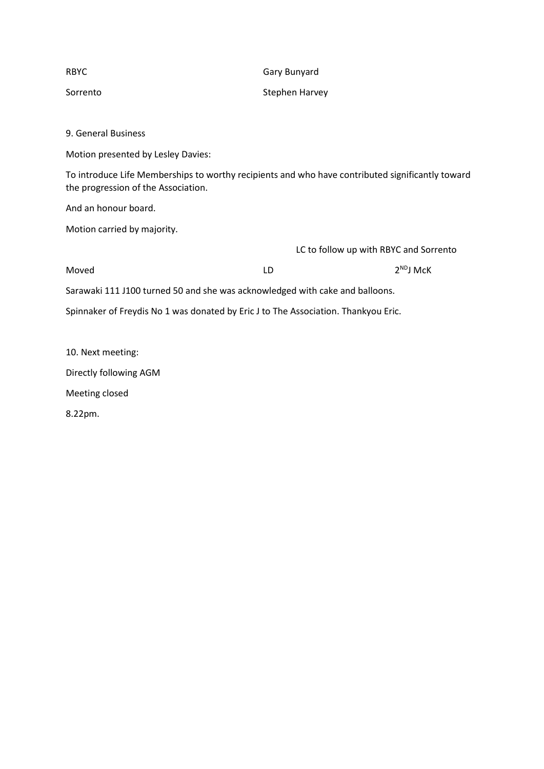| <b>RBYC</b>                                                                                                                             | Gary Bunyard                           |                |
|-----------------------------------------------------------------------------------------------------------------------------------------|----------------------------------------|----------------|
| Sorrento                                                                                                                                | Stephen Harvey                         |                |
|                                                                                                                                         |                                        |                |
| 9. General Business                                                                                                                     |                                        |                |
| Motion presented by Lesley Davies:                                                                                                      |                                        |                |
| To introduce Life Memberships to worthy recipients and who have contributed significantly toward<br>the progression of the Association. |                                        |                |
| And an honour board.                                                                                                                    |                                        |                |
| Motion carried by majority.                                                                                                             |                                        |                |
|                                                                                                                                         | LC to follow up with RBYC and Sorrento |                |
| Moved                                                                                                                                   | LD                                     | $2^{ND}$ J McK |
| Sarawaki 111 J100 turned 50 and she was acknowledged with cake and balloons.                                                            |                                        |                |
| Spinnaker of Freydis No 1 was donated by Eric J to The Association. Thankyou Eric.                                                      |                                        |                |

| 10. Next meeting:      |
|------------------------|
| Directly following AGM |
| Meeting closed         |

8.22pm.